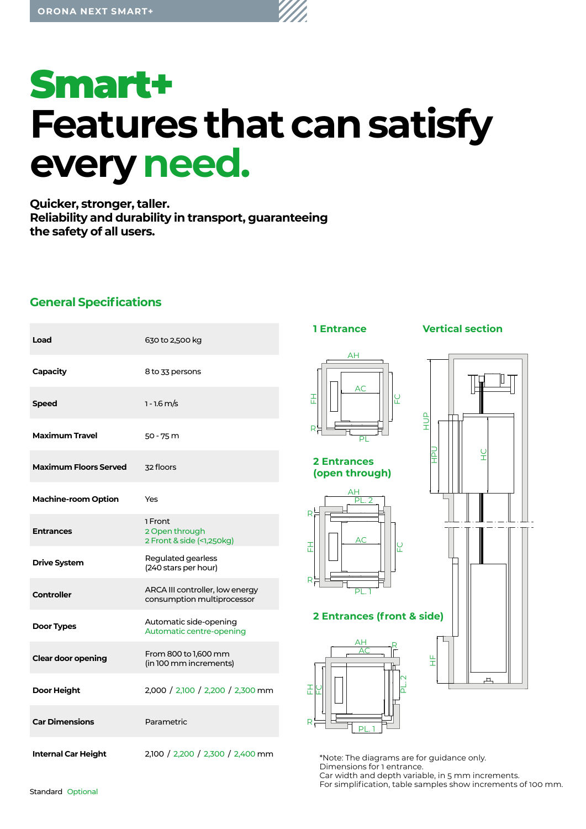

**Quicker, stronger, taller. Reliability and durability in transport, guaranteeing the safety of all users.**

# **General Specifications**

| Load                         | 630 to 2,500 kg                                               | <b>1 Entrance</b>                                                       | <b>Vertical section</b> |
|------------------------------|---------------------------------------------------------------|-------------------------------------------------------------------------|-------------------------|
| Capacity                     | 8 to 33 persons                                               | ΑH                                                                      |                         |
| <b>Speed</b>                 | $1 - 1.6$ m/s                                                 | <b>AC</b><br>준<br>일                                                     |                         |
| <b>Maximum Travel</b>        | 50 - 75 m                                                     | R.<br>Pl                                                                | ANH                     |
| <b>Maximum Floors Served</b> | 32 floors                                                     | <b>2 Entrances</b><br>(open through)                                    | 잎<br>ā<br>Ŧ             |
| <b>Machine-room Option</b>   | Yes                                                           | $\frac{\text{AH}}{\text{PL. 2}}$                                        |                         |
| <b>Entrances</b>             | 1 Front<br>2 Open through<br>2 Front & side (<1,250kg)        | $R^L$<br><b>AC</b><br>준<br><b>LC</b>                                    |                         |
| <b>Drive System</b>          | Regulated gearless<br>(240 stars per hour)                    |                                                                         |                         |
| <b>Controller</b>            | ARCA III controller, low energy<br>consumption multiprocessor | $R_r^t$<br>РI                                                           |                         |
| <b>Door Types</b>            | Automatic side-opening<br>Automatic centre-opening            | <b>2 Entrances (front &amp; side)</b>                                   |                         |
| <b>Clear door opening</b>    | From 800 to 1,600 mm<br>(in 100 mm increments)                | AН<br>$\overline{\Delta C}$                                             | 뚶                       |
| Door Height                  | 2,000 / 2,100 / 2,200 / 2,300 mm                              | 푼<br>⊻<br>$\Omega$                                                      | ᅭ                       |
| <b>Car Dimensions</b>        | Parametric                                                    | R<br>PI                                                                 |                         |
| <b>Internal Car Height</b>   | 2,100 / 2,200 / 2,300 / 2,400 mm                              | *Note: The diagrams are for guidance only.<br>Dimensiona for 1 optronoo |                         |

Dimensions for 1 entrance. Car width and depth variable, in 5 mm increments. For simplification, table samples show increments of 100 mm.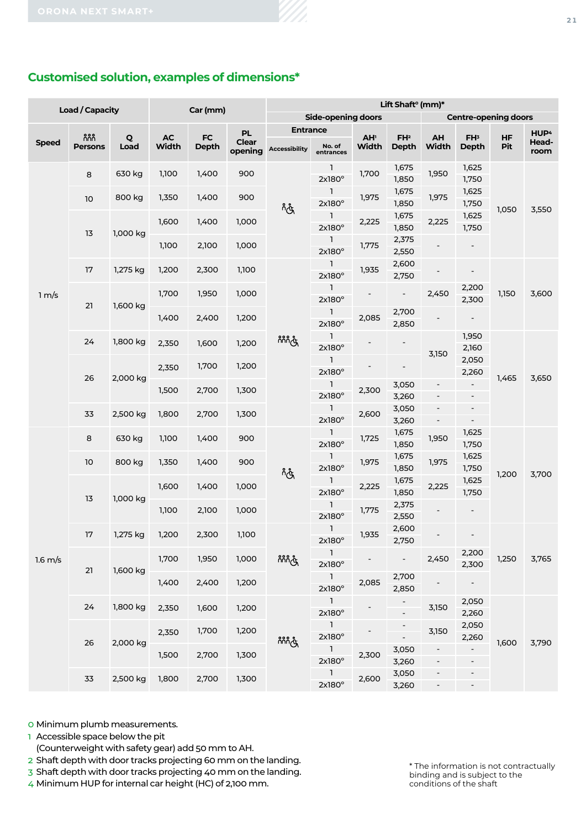# **Customised solution, examples of dimensions\***

|                   | <b>Load / Capacity</b> |                      |               | Car (mm)            |                         | Lift Shaft <sup>o</sup> (mm)* |                                 |                          |                                 |                                                      |                                                      |                  |                  |  |  |  |  |  |  |
|-------------------|------------------------|----------------------|---------------|---------------------|-------------------------|-------------------------------|---------------------------------|--------------------------|---------------------------------|------------------------------------------------------|------------------------------------------------------|------------------|------------------|--|--|--|--|--|--|
|                   |                        |                      |               |                     |                         |                               | <b>Side-opening doors</b>       |                          | <b>Centre-opening doors</b>     |                                                      |                                                      |                  |                  |  |  |  |  |  |  |
|                   | កំកំកំ                 |                      |               |                     | <b>PL</b>               | <b>Entrance</b>               |                                 |                          |                                 |                                                      |                                                      |                  | HUP <sup>4</sup> |  |  |  |  |  |  |
| <b>Speed</b>      | <b>Persons</b>         | $\mathbf{Q}$<br>Load | $AC$<br>Width | ${\sf FC}$<br>Depth | <b>Clear</b><br>opening | <b>Accessibility</b>          | No. of<br>entrances             | AH <sup>1</sup><br>Width | FH <sup>2</sup><br><b>Depth</b> | AH<br><b>Width</b>                                   | FH <sup>3</sup><br><b>Depth</b>                      | <b>HF</b><br>Pit | Head-<br>room    |  |  |  |  |  |  |
|                   | 8                      | 630 kg               | 1,100         | 1,400               | 900                     | က္ခ်ဳ                         | 1.<br>2x180°                    | 1,700                    | 1,675<br>1,850                  | 1,950                                                | 1,625<br>1,750                                       |                  |                  |  |  |  |  |  |  |
|                   | 10                     | 800 kg               | 1,350         | 1,400               | 900                     |                               | $\mathbf{1}$<br>2x180°          | 1,975                    | 1,675<br>1,850                  | 1,975                                                | 1,625<br>1,750                                       |                  |                  |  |  |  |  |  |  |
|                   | 13                     |                      | 1,600         | 1,400               | 1,000                   |                               | $\mathbf{1}$<br>2x180°          | 2,225                    | 1,675<br>1,850                  | 2,225                                                | 1,625<br>1,750                                       | 1,050            | 3,550            |  |  |  |  |  |  |
|                   |                        | 1,000 kg             | 1,100         | 2,100               | 1,000                   |                               | $\bigodot$<br>2x180°            | 1,775                    | 2,375<br>2,550                  |                                                      | $\overline{\phantom{a}}$                             |                  |                  |  |  |  |  |  |  |
|                   | 17                     | 1,275 kg             | 1,200         | 2,300               | 1,100                   |                               | $\mathbf{1}$<br>$2x180^\circ$   | 1,935                    | 2,600<br>2,750                  |                                                      | $\overline{\phantom{a}}$                             |                  | 3,600            |  |  |  |  |  |  |
| 1 m/s             | 21                     | 1,600 kg             | 1,700         | 1,950               | 1,000                   |                               | $\mathbf{1}$<br>$2x180^\circ$   |                          | $\sim$                          | 2,450                                                | 2,200<br>2,300                                       | 1,150            |                  |  |  |  |  |  |  |
|                   |                        |                      | 1,400         | 2,400               | 1,200                   |                               | $\overline{1}$<br>$2x180^\circ$ | 2,085                    | 2,700<br>2,850                  |                                                      |                                                      |                  |                  |  |  |  |  |  |  |
|                   | 24                     | 1,800 kg             | 2,350         | 1,600               | 1,200                   | <u>ဂီဂီဂီဂီ</u>               | $\mathbf{1}$<br>2x180°          |                          | $\blacksquare$                  | 3,150                                                | 1,950<br>2,160                                       |                  |                  |  |  |  |  |  |  |
|                   | 26                     | 2,000 kg             | 2,350         | 1,700               | 1,200                   |                               | $\mathbf{1}$<br>2x180°          |                          | $\overline{\phantom{a}}$        |                                                      | 2,050<br>2,260                                       | 1,465            | 3,650            |  |  |  |  |  |  |
|                   |                        |                      | 1,500         | 2,700               | 1,300                   |                               | $\mathbf{1}$<br>2x180°          | 2,300                    | 3,050<br>3,260                  | $\overline{\phantom{a}}$<br>$\overline{\phantom{a}}$ | $\overline{\phantom{a}}$<br>$\overline{\phantom{a}}$ |                  |                  |  |  |  |  |  |  |
|                   | 33                     | 2,500 kg             | 1,800         | 2,700               | 1,300                   |                               | $\mathbf{1}$<br>2x180°          | 2,600                    | 3,050<br>3,260                  | $\overline{\phantom{a}}$<br>$\blacksquare$           | $\qquad \qquad \blacksquare$<br>$\blacksquare$       |                  |                  |  |  |  |  |  |  |
|                   | 8                      | 630 kg               | 1,100         | 1,400               | 900                     |                               | $\mathbf{1}$<br>2x180°          | 1,725                    | 1,675<br>1,850                  | 1,950                                                | 1,625<br>1,750                                       |                  |                  |  |  |  |  |  |  |
|                   | $10$                   | 800 kg               | 1,350         | 1,400               | 900                     | لوپ                           | $\mathbf{1}$<br>2x180°          | 1,975                    | 1,675<br>1,850                  | 1,975                                                | 1,625<br>1,750                                       | 1,200            | 3,700            |  |  |  |  |  |  |
|                   | 13                     | 1,000 kg             | 1,600         | 1,400               | 1,000                   |                               | $\mathbf{1}$<br>2x180°          | 2,225                    | 1,675<br>1,850                  | 2,225                                                | 1,625<br>1,750                                       |                  |                  |  |  |  |  |  |  |
|                   |                        |                      | 1,100         | 2,100               | 1,000                   |                               | $\mathbf{1}$<br>2x180°          | 1,775                    | 2,375<br>2,550                  |                                                      |                                                      |                  |                  |  |  |  |  |  |  |
|                   | 17                     | 1,275 kg             | 1,200         | 2,300               | 1,100                   |                               | 1<br>$2x180^\circ$              | 1,935                    | 2,600<br>2,750                  |                                                      |                                                      |                  |                  |  |  |  |  |  |  |
| $1.6 \text{ m/s}$ | 21                     | 1,600 kg             | 1,700         | 1,950               | 1,000                   | ဂိဂိဂိုက္လံ                   | $\mathbf{1}$<br>2x180°          |                          |                                 | 2,450                                                | 2,200<br>2,300                                       | 1,250            | 3,765            |  |  |  |  |  |  |
|                   |                        |                      | 1,400         | 2,400               | 1,200                   |                               | $\overline{1}$<br>2x180°        | 2,085                    | 2,700<br>2,850                  |                                                      |                                                      |                  |                  |  |  |  |  |  |  |
|                   | 24                     | 1,800 kg             | 2,350         | 1,600               | 1,200                   |                               | $\overline{1}$<br>$2x180^\circ$ |                          |                                 | 3,150                                                | 2,050<br>2,260                                       |                  |                  |  |  |  |  |  |  |
|                   | 26                     | 2,000 kg             | 2,350         | 1,700               | 1,200                   | ဂိဂိဂိုက္လံ                   | $\overline{1}$<br>$2x180^\circ$ |                          |                                 | 3,150                                                | 2,050<br>2,260                                       | 1,600            | 3,790            |  |  |  |  |  |  |
|                   |                        |                      | 1,500         | 2,700               | 1,300                   |                               | $\overline{1}$<br>2x180°        | 2,300                    | 3,050<br>3,260                  | $\overline{\phantom{a}}$<br>$\overline{\phantom{a}}$ |                                                      |                  |                  |  |  |  |  |  |  |
|                   | 33                     | 2,500 kg             | 1,800         | 2,700               | 1,300                   |                               | $\overline{1}$<br>2x180°        | 2,600                    | 3,050<br>3,260                  | $\overline{\phantom{a}}$<br>$\sim$                   | $\overline{\phantom{a}}$                             |                  |                  |  |  |  |  |  |  |

0 Minimum plumb measurements.

- 1 Accessible space below the pit
- (Counterweight with safety gear) add 50 mm to AH.
- 2 Shaft depth with door tracks projecting 60 mm on the landing.
- 3 Shaft depth with door tracks projecting 40 mm on the landing.

4 Minimum HUP for internal car height (HC) of 2,100 mm.

\* The information is not contractually binding and is subject to the conditions of the shaft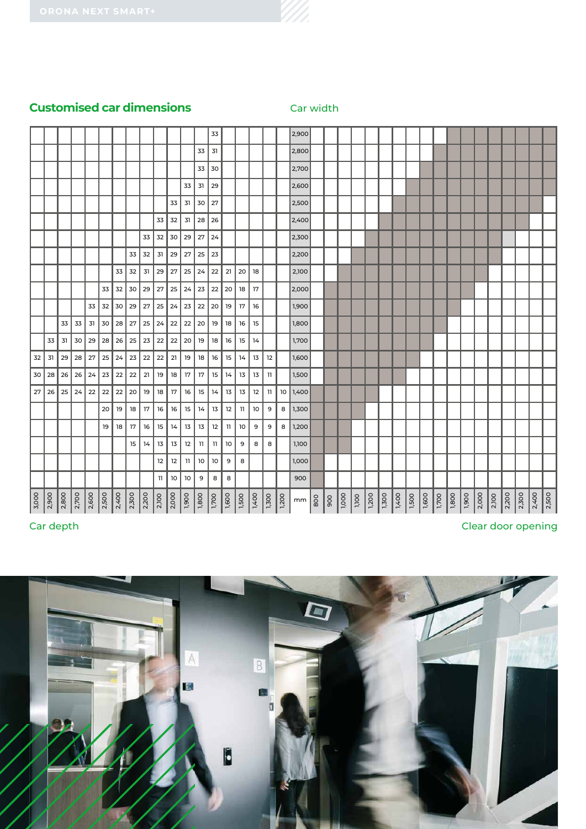# **Customised car dimensions** Car width

|                   |               |       |       |                   |       |                   |       |       |               |       |                         |                  | 33              |       |                  |                       |    |                       | 2,900                                      |    |                       |                 |                     |                      |                    |                 |                   |                     |                   |                       |                   |                   |                   |       |
|-------------------|---------------|-------|-------|-------------------|-------|-------------------|-------|-------|---------------|-------|-------------------------|------------------|-----------------|-------|------------------|-----------------------|----|-----------------------|--------------------------------------------|----|-----------------------|-----------------|---------------------|----------------------|--------------------|-----------------|-------------------|---------------------|-------------------|-----------------------|-------------------|-------------------|-------------------|-------|
|                   |               |       |       |                   |       |                   |       |       |               |       |                         | 33               | 31              |       |                  |                       |    |                       | 2,800                                      |    |                       |                 |                     |                      |                    |                 |                   |                     |                   |                       |                   |                   |                   |       |
|                   |               |       |       |                   |       |                   |       |       |               |       |                         | 33               | 30              |       |                  |                       |    |                       | 2,700                                      |    |                       |                 |                     |                      |                    |                 |                   |                     |                   |                       |                   |                   |                   |       |
|                   |               |       |       |                   |       |                   |       |       |               |       | 33                      | 31               | 29              |       |                  |                       |    |                       | 2,600                                      |    |                       |                 |                     |                      |                    |                 |                   |                     |                   |                       |                   |                   |                   |       |
|                   |               |       |       |                   |       |                   |       |       |               | 33    | 31                      | 30               | 27              |       |                  |                       |    |                       | 2,500                                      |    |                       |                 |                     |                      |                    |                 |                   |                     |                   |                       |                   |                   |                   |       |
|                   |               |       |       |                   |       |                   |       |       | 33            | 32    | 31                      | 28               | 26              |       |                  |                       |    |                       | 2,400                                      |    |                       |                 |                     |                      |                    |                 |                   |                     |                   |                       |                   |                   |                   |       |
|                   |               |       |       |                   |       |                   |       | 33    | 32            | 30    | 29                      | 27               | 24              |       |                  |                       |    |                       | 2,300                                      |    |                       |                 |                     |                      |                    |                 |                   |                     |                   |                       |                   |                   |                   |       |
|                   |               |       |       |                   |       |                   | 33    | 32    | 31            | 29    | 27                      | 25               | 23              |       |                  |                       |    |                       | 2,200                                      |    |                       |                 |                     |                      |                    |                 |                   |                     |                   |                       |                   |                   |                   |       |
|                   |               |       |       |                   |       | 33                | 32    | 31    | 29            | 27    | 25                      | 24               | 22              | 21    | 20               | 18                    |    |                       | 2,100                                      |    |                       |                 |                     |                      |                    |                 |                   |                     |                   |                       |                   |                   |                   |       |
|                   |               |       |       |                   | 33    | 32                | 30    | 29    | 27            | 25    | 24                      | 23               | 22              | 20    | 18               | 17                    |    |                       | 2,000                                      |    |                       |                 |                     |                      |                    |                 |                   |                     |                   |                       |                   |                   |                   |       |
|                   |               |       |       | 33                | 32    | 30                | 29    | 27    | 25            | 24    | 23                      | 22               | 20              | 19    | 17               | 16                    |    |                       | 1,900                                      |    |                       |                 |                     |                      |                    |                 |                   |                     |                   |                       |                   |                   |                   |       |
|                   |               | 33    | 33    | 31                | 30    | 28                | 27    | 25    | 24            | 22    | 22                      | 20               | 19              | 18    | 16               | 15                    |    |                       | 1,800                                      |    |                       |                 |                     |                      |                    |                 |                   |                     |                   |                       |                   |                   |                   |       |
|                   | 33            | 31    | 30    | 29                | 28    | 26                | 25    | 23    | 22            | 22    | 20                      | 19               | 18              | 16    | 15               | 14                    |    |                       | 1,700                                      |    |                       |                 |                     |                      |                    |                 |                   |                     |                   |                       |                   |                   |                   |       |
|                   |               |       |       |                   |       |                   |       |       |               |       |                         |                  |                 |       |                  |                       |    |                       |                                            |    |                       |                 |                     |                      |                    |                 |                   |                     |                   |                       |                   |                   |                   |       |
| 32                | 31            | 29    | 28    | 27                | 25    | 24                | 23    | 22    | 22            | 21    | 19                      | 18               | 16              | 15    | 14               | 13                    | 12 |                       | 1,600                                      |    |                       |                 |                     |                      |                    |                 |                   |                     |                   |                       |                   |                   |                   |       |
| 30                | 28            | 26    | 26    | 24                | 23    | 22                | 22    | 21    | 19            | 18    | 17                      | 17               | 15              | 14    | 13               | 13                    | 11 |                       | 1,500                                      |    |                       |                 |                     |                      |                    |                 |                   |                     |                   |                       |                   |                   |                   |       |
| 27                | 26            | 25    | 24    | 22                | 22    | 22                | 20    | 19    | 18            | 17    | 16                      | 15               | 14              | 13    | 13               | 12                    | 11 |                       | 10 1,400                                   |    |                       |                 |                     |                      |                    |                 |                   |                     |                   |                       |                   |                   |                   |       |
|                   |               |       |       |                   | 20    | 19                | 18    | 17    | 16            | 16    | 15                      | 14               | 13              | 12    | 11               | 10                    | 9  | 8                     | 1,300                                      |    |                       |                 |                     |                      |                    |                 |                   |                     |                   |                       |                   |                   |                   |       |
|                   |               |       |       |                   | 19    | 18                | 17    | 16    | 15            | 14    | 13                      | 13               | 12              | 11    | 10               | 9                     | 9  | 8                     | 1,200                                      |    |                       |                 |                     |                      |                    |                 |                   |                     |                   |                       |                   |                   |                   |       |
|                   |               |       |       |                   |       |                   | 15    | 14    | 13            | 13    | 12                      | $11\,$           | 11              | 10    | 9                | 8                     | 8  |                       | 1,100                                      |    |                       |                 |                     |                      |                    |                 |                   |                     |                   |                       |                   |                   |                   |       |
|                   |               |       |       |                   |       |                   |       |       | 12            | 12    | $\overline{\mathbf{1}}$ | 10               | 10 <sub>o</sub> | 9     | 8                |                       |    |                       | 1,000                                      |    |                       |                 |                     |                      |                    |                 |                   |                     |                   |                       |                   |                   |                   |       |
|                   |               |       |       |                   |       |                   |       |       | 11            | 10    | 10                      | 9                | 8               | 8     |                  |                       |    |                       | 900                                        |    |                       |                 |                     |                      |                    |                 |                   |                     |                   |                       |                   |                   |                   |       |
| $\frac{3,000}{5}$ | $\frac{1}{2}$ | 2,800 | 2,700 | $\frac{1}{2,600}$ | 2,500 | $\frac{2,400}{2}$ | 2,300 | 2,200 | $\frac{1}{2}$ | 2,000 | $\frac{1}{900}$         | $\frac{1}{1800}$ | 1,700           | 1,600 | $\frac{1500}{1}$ | $\frac{1,400}{1,300}$ |    | $\sqrt{\frac{20}{2}}$ | $mm$ $\begin{array}{c} 8 \\ 8 \end{array}$ | နွ | $\frac{1,000}{1,100}$ | $\frac{1}{200}$ | $\frac{1300}{2500}$ | $\sqrt{\frac{1}{2}}$ | $\frac{150}{1500}$ | $\frac{1}{100}$ | $\frac{1,700}{ }$ | $\frac{1,800}{\pi}$ | $\frac{1,900}{2}$ | $\frac{2,000}{2,100}$ | $\frac{2,200}{ }$ | $\frac{2,300}{2}$ | $\frac{2,400}{2}$ | 2,500 |

# Car depth Clear door opening